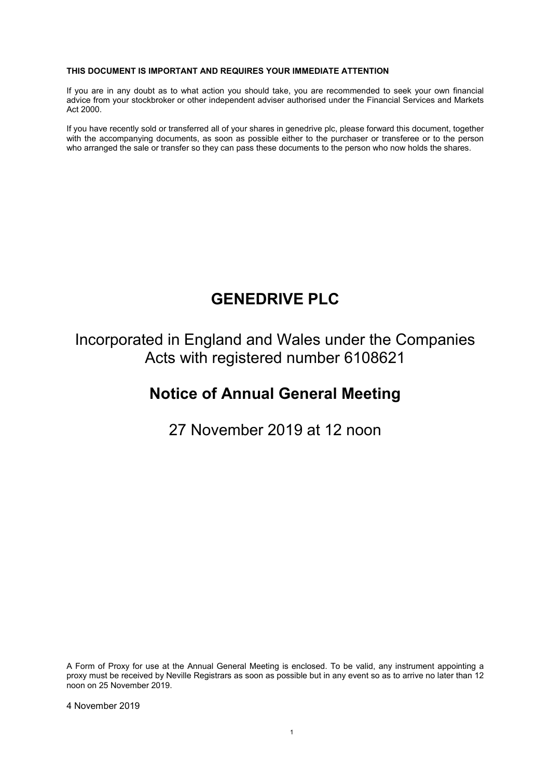#### **THIS DOCUMENT IS IMPORTANT AND REQUIRES YOUR IMMEDIATE ATTENTION**

If you are in any doubt as to what action you should take, you are recommended to seek your own financial advice from your stockbroker or other independent adviser authorised under the Financial Services and Markets Act 2000.

If you have recently sold or transferred all of your shares in genedrive plc, please forward this document, together with the accompanying documents, as soon as possible either to the purchaser or transferee or to the person who arranged the sale or transfer so they can pass these documents to the person who now holds the shares.

# **GENEDRIVE PLC**

Incorporated in England and Wales under the Companies Acts with registered number 6108621

## **Notice of Annual General Meeting**

27 November 2019 at 12 noon

A Form of Proxy for use at the Annual General Meeting is enclosed. To be valid, any instrument appointing a proxy must be received by Neville Registrars as soon as possible but in any event so as to arrive no later than 12 noon on 25 November 2019.

4 November 2019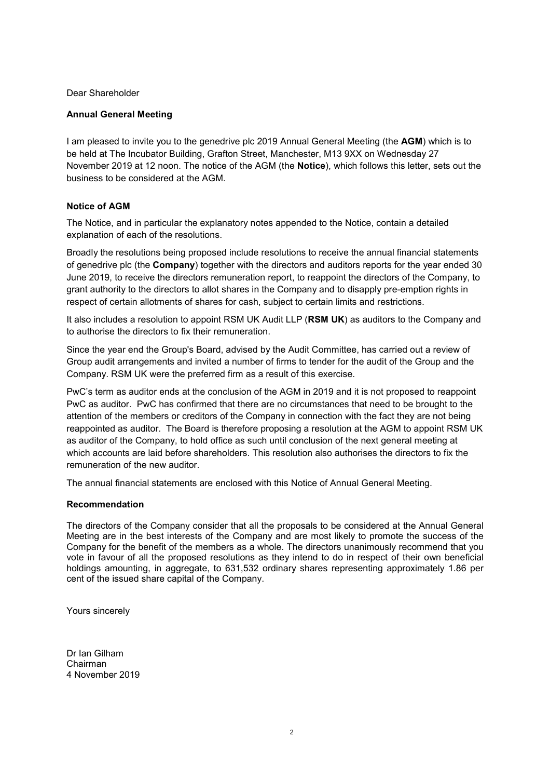Dear Shareholder

## **Annual General Meeting**

I am pleased to invite you to the genedrive plc 2019 Annual General Meeting (the **AGM**) which is to be held at The Incubator Building, Grafton Street, Manchester, M13 9XX on Wednesday 27 November 2019 at 12 noon. The notice of the AGM (the **Notice**), which follows this letter, sets out the business to be considered at the AGM.

## **Notice of AGM**

The Notice, and in particular the explanatory notes appended to the Notice, contain a detailed explanation of each of the resolutions.

Broadly the resolutions being proposed include resolutions to receive the annual financial statements of genedrive plc (the **Company**) together with the directors and auditors reports for the year ended 30 June 2019, to receive the directors remuneration report, to reappoint the directors of the Company, to grant authority to the directors to allot shares in the Company and to disapply pre-emption rights in respect of certain allotments of shares for cash, subject to certain limits and restrictions.

It also includes a resolution to appoint RSM UK Audit LLP (**RSM UK**) as auditors to the Company and to authorise the directors to fix their remuneration.

Since the year end the Group's Board, advised by the Audit Committee, has carried out a review of Group audit arrangements and invited a number of firms to tender for the audit of the Group and the Company. RSM UK were the preferred firm as a result of this exercise.

PwC's term as auditor ends at the conclusion of the AGM in 2019 and it is not proposed to reappoint PwC as auditor. PwC has confirmed that there are no circumstances that need to be brought to the attention of the members or creditors of the Company in connection with the fact they are not being reappointed as auditor. The Board is therefore proposing a resolution at the AGM to appoint RSM UK as auditor of the Company, to hold office as such until conclusion of the next general meeting at which accounts are laid before shareholders. This resolution also authorises the directors to fix the remuneration of the new auditor.

The annual financial statements are enclosed with this Notice of Annual General Meeting.

## **Recommendation**

The directors of the Company consider that all the proposals to be considered at the Annual General Meeting are in the best interests of the Company and are most likely to promote the success of the Company for the benefit of the members as a whole. The directors unanimously recommend that you vote in favour of all the proposed resolutions as they intend to do in respect of their own beneficial holdings amounting, in aggregate, to 631,532 ordinary shares representing approximately 1.86 per cent of the issued share capital of the Company.

Yours sincerely

Dr Ian Gilham Chairman 4 November 2019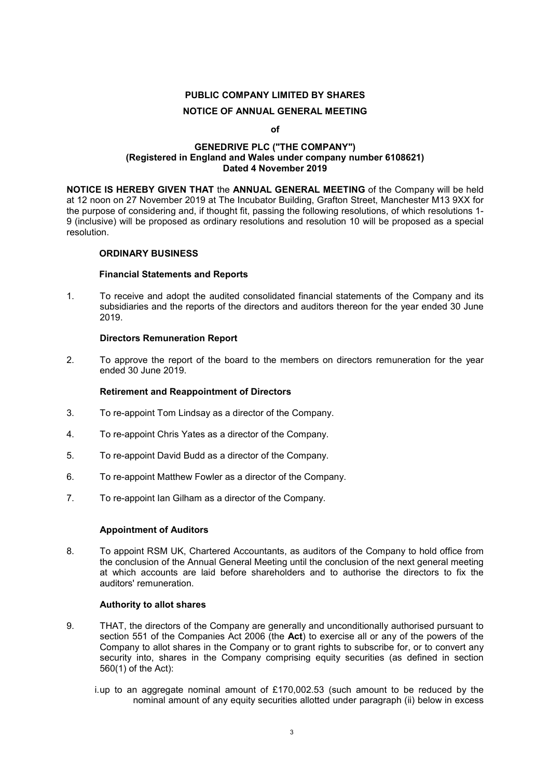## **PUBLIC COMPANY LIMITED BY SHARES NOTICE OF ANNUAL GENERAL MEETING**

#### **of**

### **GENEDRIVE PLC ("THE COMPANY") (Registered in England and Wales under company number 6108621) Dated 4 November 2019**

**NOTICE IS HEREBY GIVEN THAT** the **ANNUAL GENERAL MEETING** of the Company will be held at 12 noon on 27 November 2019 at The Incubator Building, Grafton Street, Manchester M13 9XX for the purpose of considering and, if thought fit, passing the following resolutions, of which resolutions 1- 9 (inclusive) will be proposed as ordinary resolutions and resolution 10 will be proposed as a special resolution.

### **ORDINARY BUSINESS**

### **Financial Statements and Reports**

1. To receive and adopt the audited consolidated financial statements of the Company and its subsidiaries and the reports of the directors and auditors thereon for the year ended 30 June 2019.

### **Directors Remuneration Report**

2. To approve the report of the board to the members on directors remuneration for the year ended 30 June 2019.

#### **Retirement and Reappointment of Directors**

- 3. To re-appoint Tom Lindsay as a director of the Company.
- 4. To re-appoint Chris Yates as a director of the Company.
- 5. To re-appoint David Budd as a director of the Company.
- 6. To re-appoint Matthew Fowler as a director of the Company.
- 7. To re-appoint Ian Gilham as a director of the Company.

## **Appointment of Auditors**

8. To appoint RSM UK, Chartered Accountants, as auditors of the Company to hold office from the conclusion of the Annual General Meeting until the conclusion of the next general meeting at which accounts are laid before shareholders and to authorise the directors to fix the auditors' remuneration.

#### **Authority to allot shares**

- 9. THAT, the directors of the Company are generally and unconditionally authorised pursuant to section 551 of the Companies Act 2006 (the **Act**) to exercise all or any of the powers of the Company to allot shares in the Company or to grant rights to subscribe for, or to convert any security into, shares in the Company comprising equity securities (as defined in section 560(1) of the Act):
	- i. up to an aggregate nominal amount of £170,002.53 (such amount to be reduced by the nominal amount of any equity securities allotted under paragraph (ii) below in excess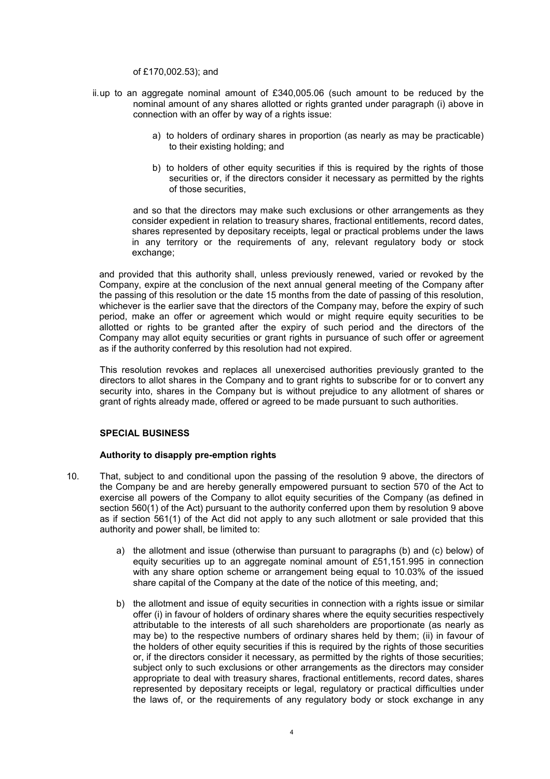#### of £170,002.53); and

- ii. up to an aggregate nominal amount of £340,005.06 (such amount to be reduced by the nominal amount of any shares allotted or rights granted under paragraph (i) above in connection with an offer by way of a rights issue:
	- a) to holders of ordinary shares in proportion (as nearly as may be practicable) to their existing holding; and
	- b) to holders of other equity securities if this is required by the rights of those securities or, if the directors consider it necessary as permitted by the rights of those securities,

 and so that the directors may make such exclusions or other arrangements as they consider expedient in relation to treasury shares, fractional entitlements, record dates, shares represented by depositary receipts, legal or practical problems under the laws in any territory or the requirements of any, relevant regulatory body or stock exchange;

and provided that this authority shall, unless previously renewed, varied or revoked by the Company, expire at the conclusion of the next annual general meeting of the Company after the passing of this resolution or the date 15 months from the date of passing of this resolution, whichever is the earlier save that the directors of the Company may, before the expiry of such period, make an offer or agreement which would or might require equity securities to be allotted or rights to be granted after the expiry of such period and the directors of the Company may allot equity securities or grant rights in pursuance of such offer or agreement as if the authority conferred by this resolution had not expired.

This resolution revokes and replaces all unexercised authorities previously granted to the directors to allot shares in the Company and to grant rights to subscribe for or to convert any security into, shares in the Company but is without prejudice to any allotment of shares or grant of rights already made, offered or agreed to be made pursuant to such authorities.

## **SPECIAL BUSINESS**

## **Authority to disapply pre-emption rights**

- 10. That, subject to and conditional upon the passing of the resolution 9 above, the directors of the Company be and are hereby generally empowered pursuant to section 570 of the Act to exercise all powers of the Company to allot equity securities of the Company (as defined in section 560(1) of the Act) pursuant to the authority conferred upon them by resolution 9 above as if section 561(1) of the Act did not apply to any such allotment or sale provided that this authority and power shall, be limited to:
	- a) the allotment and issue (otherwise than pursuant to paragraphs (b) and (c) below) of equity securities up to an aggregate nominal amount of £51,151.995 in connection with any share option scheme or arrangement being equal to 10.03% of the issued share capital of the Company at the date of the notice of this meeting, and;
	- b) the allotment and issue of equity securities in connection with a rights issue or similar offer (i) in favour of holders of ordinary shares where the equity securities respectively attributable to the interests of all such shareholders are proportionate (as nearly as may be) to the respective numbers of ordinary shares held by them; (ii) in favour of the holders of other equity securities if this is required by the rights of those securities or, if the directors consider it necessary, as permitted by the rights of those securities; subject only to such exclusions or other arrangements as the directors may consider appropriate to deal with treasury shares, fractional entitlements, record dates, shares represented by depositary receipts or legal, regulatory or practical difficulties under the laws of, or the requirements of any regulatory body or stock exchange in any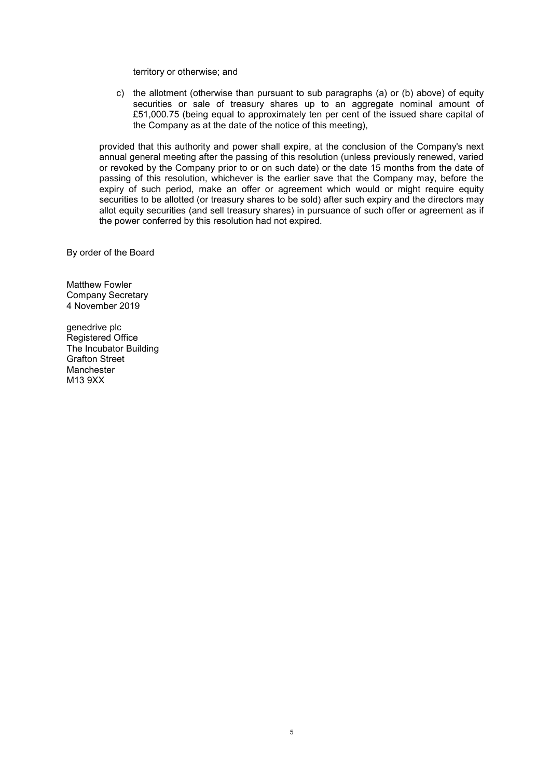territory or otherwise; and

c) the allotment (otherwise than pursuant to sub paragraphs (a) or (b) above) of equity securities or sale of treasury shares up to an aggregate nominal amount of £51,000.75 (being equal to approximately ten per cent of the issued share capital of the Company as at the date of the notice of this meeting),

provided that this authority and power shall expire, at the conclusion of the Company's next annual general meeting after the passing of this resolution (unless previously renewed, varied or revoked by the Company prior to or on such date) or the date 15 months from the date of passing of this resolution, whichever is the earlier save that the Company may, before the expiry of such period, make an offer or agreement which would or might require equity securities to be allotted (or treasury shares to be sold) after such expiry and the directors may allot equity securities (and sell treasury shares) in pursuance of such offer or agreement as if the power conferred by this resolution had not expired.

By order of the Board

Matthew Fowler Company Secretary 4 November 2019

genedrive plc Registered Office The Incubator Building Grafton Street Manchester M13 9XX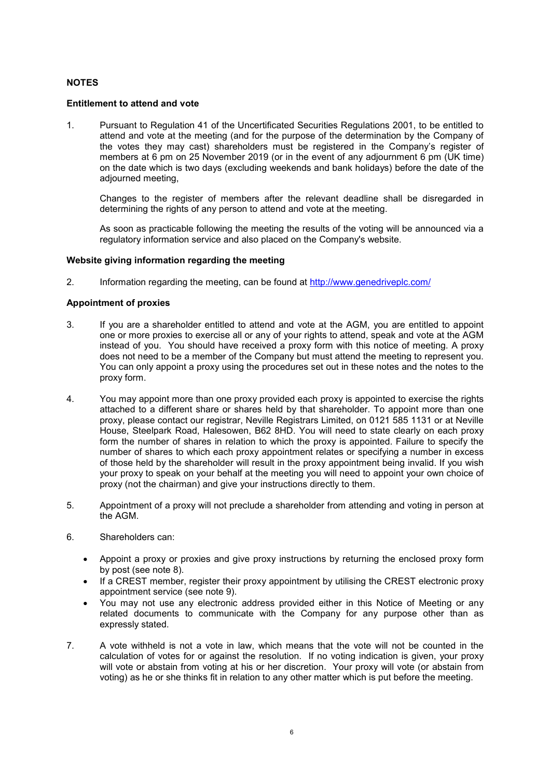## **NOTES**

### **Entitlement to attend and vote**

1. Pursuant to Regulation 41 of the Uncertificated Securities Regulations 2001, to be entitled to attend and vote at the meeting (and for the purpose of the determination by the Company of the votes they may cast) shareholders must be registered in the Company's register of members at 6 pm on 25 November 2019 (or in the event of any adjournment 6 pm (UK time) on the date which is two days (excluding weekends and bank holidays) before the date of the adjourned meeting,

Changes to the register of members after the relevant deadline shall be disregarded in determining the rights of any person to attend and vote at the meeting.

As soon as practicable following the meeting the results of the voting will be announced via a regulatory information service and also placed on the Company's website.

### **Website giving information regarding the meeting**

2. Information regarding the meeting, can be found at http://www.genedriveplc.com/

### **Appointment of proxies**

- 3. If you are a shareholder entitled to attend and vote at the AGM, you are entitled to appoint one or more proxies to exercise all or any of your rights to attend, speak and vote at the AGM instead of you. You should have received a proxy form with this notice of meeting. A proxy does not need to be a member of the Company but must attend the meeting to represent you. You can only appoint a proxy using the procedures set out in these notes and the notes to the proxy form.
- 4. You may appoint more than one proxy provided each proxy is appointed to exercise the rights attached to a different share or shares held by that shareholder. To appoint more than one proxy, please contact our registrar, Neville Registrars Limited, on 0121 585 1131 or at Neville House, Steelpark Road, Halesowen, B62 8HD. You will need to state clearly on each proxy form the number of shares in relation to which the proxy is appointed. Failure to specify the number of shares to which each proxy appointment relates or specifying a number in excess of those held by the shareholder will result in the proxy appointment being invalid. If you wish your proxy to speak on your behalf at the meeting you will need to appoint your own choice of proxy (not the chairman) and give your instructions directly to them.
- 5. Appointment of a proxy will not preclude a shareholder from attending and voting in person at the AGM.
- 6. Shareholders can:
	- Appoint a proxy or proxies and give proxy instructions by returning the enclosed proxy form by post (see note 8).
	- If a CREST member, register their proxy appointment by utilising the CREST electronic proxy appointment service (see note 9).
	- You may not use any electronic address provided either in this Notice of Meeting or any related documents to communicate with the Company for any purpose other than as expressly stated.
- 7. A vote withheld is not a vote in law, which means that the vote will not be counted in the calculation of votes for or against the resolution. If no voting indication is given, your proxy will vote or abstain from voting at his or her discretion. Your proxy will vote (or abstain from voting) as he or she thinks fit in relation to any other matter which is put before the meeting.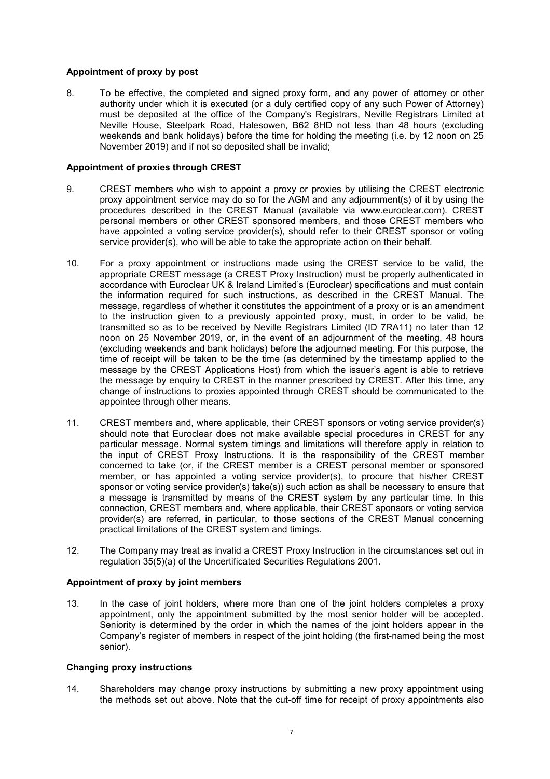## **Appointment of proxy by post**

8. To be effective, the completed and signed proxy form, and any power of attorney or other authority under which it is executed (or a duly certified copy of any such Power of Attorney) must be deposited at the office of the Company's Registrars, Neville Registrars Limited at Neville House, Steelpark Road, Halesowen, B62 8HD not less than 48 hours (excluding weekends and bank holidays) before the time for holding the meeting (i.e. by 12 noon on 25 November 2019) and if not so deposited shall be invalid;

#### **Appointment of proxies through CREST**

- 9. CREST members who wish to appoint a proxy or proxies by utilising the CREST electronic proxy appointment service may do so for the AGM and any adjournment(s) of it by using the procedures described in the CREST Manual (available via www.euroclear.com). CREST personal members or other CREST sponsored members, and those CREST members who have appointed a voting service provider(s), should refer to their CREST sponsor or voting service provider(s), who will be able to take the appropriate action on their behalf.
- 10. For a proxy appointment or instructions made using the CREST service to be valid, the appropriate CREST message (a CREST Proxy Instruction) must be properly authenticated in accordance with Euroclear UK & Ireland Limited's (Euroclear) specifications and must contain the information required for such instructions, as described in the CREST Manual. The message, regardless of whether it constitutes the appointment of a proxy or is an amendment to the instruction given to a previously appointed proxy, must, in order to be valid, be transmitted so as to be received by Neville Registrars Limited (ID 7RA11) no later than 12 noon on 25 November 2019, or, in the event of an adjournment of the meeting, 48 hours (excluding weekends and bank holidays) before the adjourned meeting. For this purpose, the time of receipt will be taken to be the time (as determined by the timestamp applied to the message by the CREST Applications Host) from which the issuer's agent is able to retrieve the message by enquiry to CREST in the manner prescribed by CREST. After this time, any change of instructions to proxies appointed through CREST should be communicated to the appointee through other means.
- 11. CREST members and, where applicable, their CREST sponsors or voting service provider(s) should note that Euroclear does not make available special procedures in CREST for any particular message. Normal system timings and limitations will therefore apply in relation to the input of CREST Proxy Instructions. It is the responsibility of the CREST member concerned to take (or, if the CREST member is a CREST personal member or sponsored member, or has appointed a voting service provider(s), to procure that his/her CREST sponsor or voting service provider(s) take(s)) such action as shall be necessary to ensure that a message is transmitted by means of the CREST system by any particular time. In this connection, CREST members and, where applicable, their CREST sponsors or voting service provider(s) are referred, in particular, to those sections of the CREST Manual concerning practical limitations of the CREST system and timings.
- 12. The Company may treat as invalid a CREST Proxy Instruction in the circumstances set out in regulation 35(5)(a) of the Uncertificated Securities Regulations 2001.

## **Appointment of proxy by joint members**

13. In the case of joint holders, where more than one of the joint holders completes a proxy appointment, only the appointment submitted by the most senior holder will be accepted. Seniority is determined by the order in which the names of the joint holders appear in the Company's register of members in respect of the joint holding (the first-named being the most senior).

#### **Changing proxy instructions**

14. Shareholders may change proxy instructions by submitting a new proxy appointment using the methods set out above. Note that the cut-off time for receipt of proxy appointments also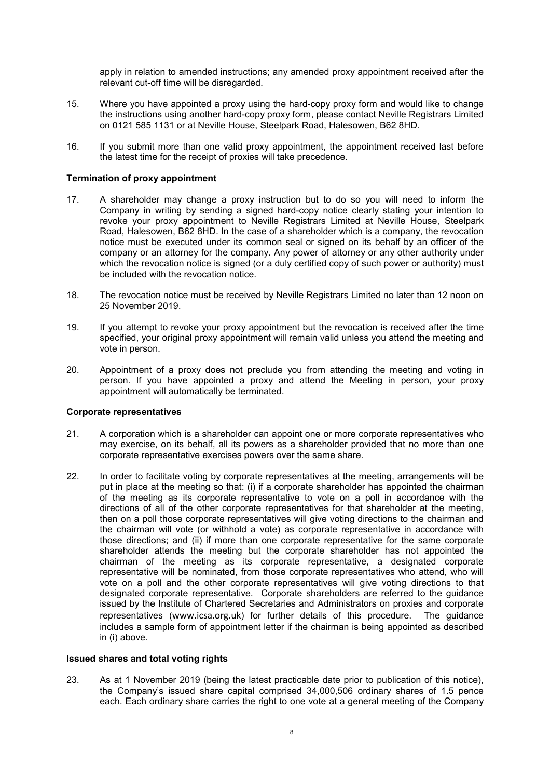apply in relation to amended instructions; any amended proxy appointment received after the relevant cut-off time will be disregarded.

- 15. Where you have appointed a proxy using the hard-copy proxy form and would like to change the instructions using another hard-copy proxy form, please contact Neville Registrars Limited on 0121 585 1131 or at Neville House, Steelpark Road, Halesowen, B62 8HD.
- 16. If you submit more than one valid proxy appointment, the appointment received last before the latest time for the receipt of proxies will take precedence.

#### **Termination of proxy appointment**

- 17. A shareholder may change a proxy instruction but to do so you will need to inform the Company in writing by sending a signed hard-copy notice clearly stating your intention to revoke your proxy appointment to Neville Registrars Limited at Neville House, Steelpark Road, Halesowen, B62 8HD. In the case of a shareholder which is a company, the revocation notice must be executed under its common seal or signed on its behalf by an officer of the company or an attorney for the company. Any power of attorney or any other authority under which the revocation notice is signed (or a duly certified copy of such power or authority) must be included with the revocation notice.
- 18. The revocation notice must be received by Neville Registrars Limited no later than 12 noon on 25 November 2019.
- 19. If you attempt to revoke your proxy appointment but the revocation is received after the time specified, your original proxy appointment will remain valid unless you attend the meeting and vote in person.
- 20. Appointment of a proxy does not preclude you from attending the meeting and voting in person. If you have appointed a proxy and attend the Meeting in person, your proxy appointment will automatically be terminated.

#### **Corporate representatives**

- 21. A corporation which is a shareholder can appoint one or more corporate representatives who may exercise, on its behalf, all its powers as a shareholder provided that no more than one corporate representative exercises powers over the same share.
- 22. In order to facilitate voting by corporate representatives at the meeting, arrangements will be put in place at the meeting so that: (i) if a corporate shareholder has appointed the chairman of the meeting as its corporate representative to vote on a poll in accordance with the directions of all of the other corporate representatives for that shareholder at the meeting, then on a poll those corporate representatives will give voting directions to the chairman and the chairman will vote (or withhold a vote) as corporate representative in accordance with those directions; and (ii) if more than one corporate representative for the same corporate shareholder attends the meeting but the corporate shareholder has not appointed the chairman of the meeting as its corporate representative, a designated corporate representative will be nominated, from those corporate representatives who attend, who will vote on a poll and the other corporate representatives will give voting directions to that designated corporate representative. Corporate shareholders are referred to the guidance issued by the Institute of Chartered Secretaries and Administrators on proxies and corporate representatives (www.icsa.org.uk) for further details of this procedure. The guidance includes a sample form of appointment letter if the chairman is being appointed as described in (i) above.

#### **Issued shares and total voting rights**

23. As at 1 November 2019 (being the latest practicable date prior to publication of this notice), the Company's issued share capital comprised 34,000,506 ordinary shares of 1.5 pence each. Each ordinary share carries the right to one vote at a general meeting of the Company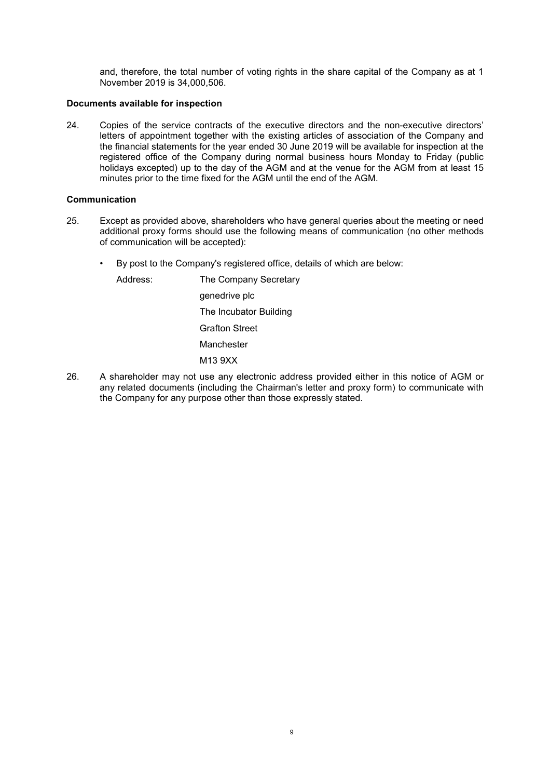and, therefore, the total number of voting rights in the share capital of the Company as at 1 November 2019 is 34,000,506.

### **Documents available for inspection**

24. Copies of the service contracts of the executive directors and the non-executive directors' letters of appointment together with the existing articles of association of the Company and the financial statements for the year ended 30 June 2019 will be available for inspection at the registered office of the Company during normal business hours Monday to Friday (public holidays excepted) up to the day of the AGM and at the venue for the AGM from at least 15 minutes prior to the time fixed for the AGM until the end of the AGM.

#### **Communication**

- 25. Except as provided above, shareholders who have general queries about the meeting or need additional proxy forms should use the following means of communication (no other methods of communication will be accepted):
	- By post to the Company's registered office, details of which are below:

Address: The Company Secretary genedrive plc The Incubator Building Grafton Street Manchester M13 9XX

26. A shareholder may not use any electronic address provided either in this notice of AGM or any related documents (including the Chairman's letter and proxy form) to communicate with the Company for any purpose other than those expressly stated.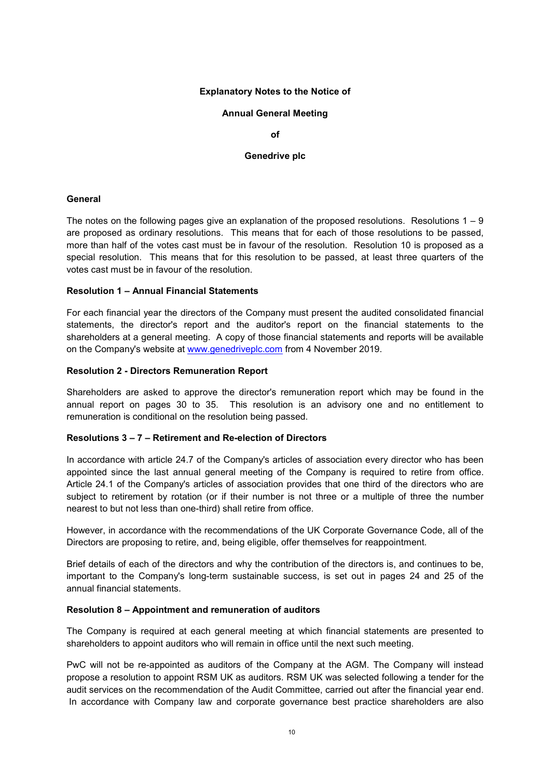### **Explanatory Notes to the Notice of**

#### **Annual General Meeting**

**of** 

#### **Genedrive plc**

#### **General**

The notes on the following pages give an explanation of the proposed resolutions. Resolutions  $1 - 9$ are proposed as ordinary resolutions. This means that for each of those resolutions to be passed, more than half of the votes cast must be in favour of the resolution. Resolution 10 is proposed as a special resolution. This means that for this resolution to be passed, at least three quarters of the votes cast must be in favour of the resolution.

### **Resolution 1 – Annual Financial Statements**

For each financial year the directors of the Company must present the audited consolidated financial statements, the director's report and the auditor's report on the financial statements to the shareholders at a general meeting. A copy of those financial statements and reports will be available on the Company's website at www.genedriveplc.com from 4 November 2019.

#### **Resolution 2 - Directors Remuneration Report**

Shareholders are asked to approve the director's remuneration report which may be found in the annual report on pages 30 to 35. This resolution is an advisory one and no entitlement to remuneration is conditional on the resolution being passed.

### **Resolutions 3 – 7 – Retirement and Re-election of Directors**

In accordance with article 24.7 of the Company's articles of association every director who has been appointed since the last annual general meeting of the Company is required to retire from office. Article 24.1 of the Company's articles of association provides that one third of the directors who are subject to retirement by rotation (or if their number is not three or a multiple of three the number nearest to but not less than one-third) shall retire from office.

However, in accordance with the recommendations of the UK Corporate Governance Code, all of the Directors are proposing to retire, and, being eligible, offer themselves for reappointment.

Brief details of each of the directors and why the contribution of the directors is, and continues to be, important to the Company's long-term sustainable success, is set out in pages 24 and 25 of the annual financial statements.

## **Resolution 8 – Appointment and remuneration of auditors**

The Company is required at each general meeting at which financial statements are presented to shareholders to appoint auditors who will remain in office until the next such meeting.

PwC will not be re-appointed as auditors of the Company at the AGM. The Company will instead propose a resolution to appoint RSM UK as auditors. RSM UK was selected following a tender for the audit services on the recommendation of the Audit Committee, carried out after the financial year end. In accordance with Company law and corporate governance best practice shareholders are also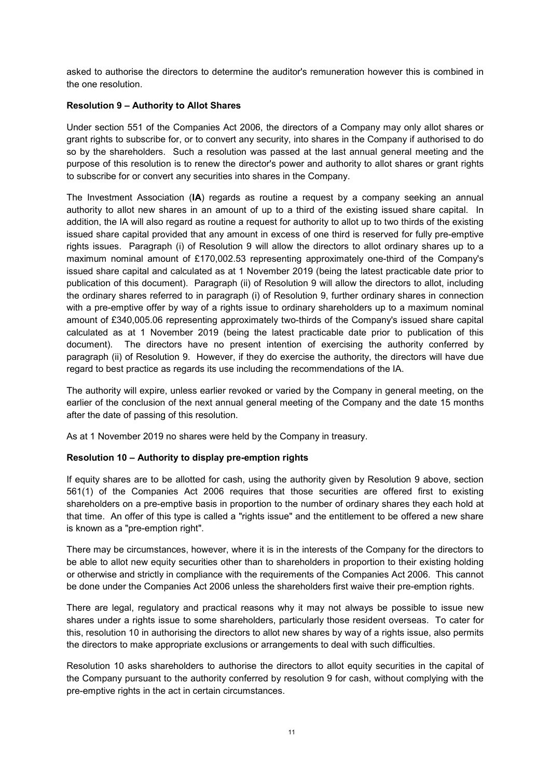asked to authorise the directors to determine the auditor's remuneration however this is combined in the one resolution.

## **Resolution 9 – Authority to Allot Shares**

Under section 551 of the Companies Act 2006, the directors of a Company may only allot shares or grant rights to subscribe for, or to convert any security, into shares in the Company if authorised to do so by the shareholders. Such a resolution was passed at the last annual general meeting and the purpose of this resolution is to renew the director's power and authority to allot shares or grant rights to subscribe for or convert any securities into shares in the Company.

The Investment Association (**IA**) regards as routine a request by a company seeking an annual authority to allot new shares in an amount of up to a third of the existing issued share capital. In addition, the IA will also regard as routine a request for authority to allot up to two thirds of the existing issued share capital provided that any amount in excess of one third is reserved for fully pre-emptive rights issues. Paragraph (i) of Resolution 9 will allow the directors to allot ordinary shares up to a maximum nominal amount of £170,002.53 representing approximately one-third of the Company's issued share capital and calculated as at 1 November 2019 (being the latest practicable date prior to publication of this document). Paragraph (ii) of Resolution 9 will allow the directors to allot, including the ordinary shares referred to in paragraph (i) of Resolution 9, further ordinary shares in connection with a pre-emptive offer by way of a rights issue to ordinary shareholders up to a maximum nominal amount of £340,005.06 representing approximately two-thirds of the Company's issued share capital calculated as at 1 November 2019 (being the latest practicable date prior to publication of this document). The directors have no present intention of exercising the authority conferred by paragraph (ii) of Resolution 9. However, if they do exercise the authority, the directors will have due regard to best practice as regards its use including the recommendations of the IA.

The authority will expire, unless earlier revoked or varied by the Company in general meeting, on the earlier of the conclusion of the next annual general meeting of the Company and the date 15 months after the date of passing of this resolution.

As at 1 November 2019 no shares were held by the Company in treasury.

## **Resolution 10 – Authority to display pre-emption rights**

If equity shares are to be allotted for cash, using the authority given by Resolution 9 above, section 561(1) of the Companies Act 2006 requires that those securities are offered first to existing shareholders on a pre-emptive basis in proportion to the number of ordinary shares they each hold at that time. An offer of this type is called a "rights issue" and the entitlement to be offered a new share is known as a "pre-emption right".

There may be circumstances, however, where it is in the interests of the Company for the directors to be able to allot new equity securities other than to shareholders in proportion to their existing holding or otherwise and strictly in compliance with the requirements of the Companies Act 2006. This cannot be done under the Companies Act 2006 unless the shareholders first waive their pre-emption rights.

There are legal, regulatory and practical reasons why it may not always be possible to issue new shares under a rights issue to some shareholders, particularly those resident overseas. To cater for this, resolution 10 in authorising the directors to allot new shares by way of a rights issue, also permits the directors to make appropriate exclusions or arrangements to deal with such difficulties.

Resolution 10 asks shareholders to authorise the directors to allot equity securities in the capital of the Company pursuant to the authority conferred by resolution 9 for cash, without complying with the pre-emptive rights in the act in certain circumstances.